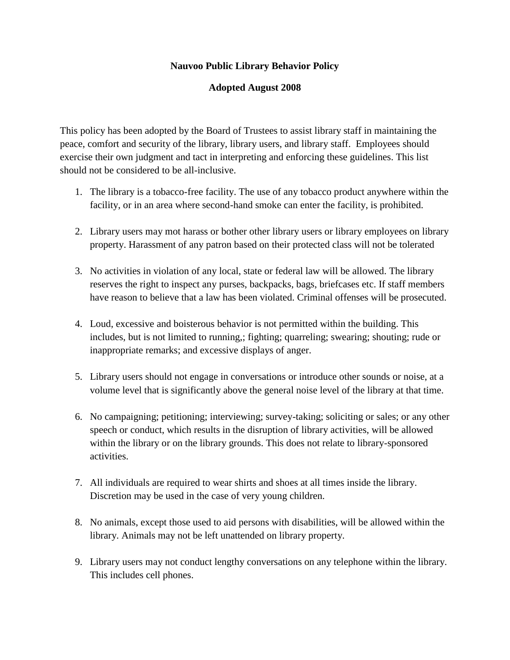## **Nauvoo Public Library Behavior Policy**

## **Adopted August 2008**

This policy has been adopted by the Board of Trustees to assist library staff in maintaining the peace, comfort and security of the library, library users, and library staff. Employees should exercise their own judgment and tact in interpreting and enforcing these guidelines. This list should not be considered to be all-inclusive.

- 1. The library is a tobacco-free facility. The use of any tobacco product anywhere within the facility, or in an area where second-hand smoke can enter the facility, is prohibited.
- 2. Library users may mot harass or bother other library users or library employees on library property. Harassment of any patron based on their protected class will not be tolerated
- 3. No activities in violation of any local, state or federal law will be allowed. The library reserves the right to inspect any purses, backpacks, bags, briefcases etc. If staff members have reason to believe that a law has been violated. Criminal offenses will be prosecuted.
- 4. Loud, excessive and boisterous behavior is not permitted within the building. This includes, but is not limited to running,; fighting; quarreling; swearing; shouting; rude or inappropriate remarks; and excessive displays of anger.
- 5. Library users should not engage in conversations or introduce other sounds or noise, at a volume level that is significantly above the general noise level of the library at that time.
- 6. No campaigning; petitioning; interviewing; survey-taking; soliciting or sales; or any other speech or conduct, which results in the disruption of library activities, will be allowed within the library or on the library grounds. This does not relate to library-sponsored activities.
- 7. All individuals are required to wear shirts and shoes at all times inside the library. Discretion may be used in the case of very young children.
- 8. No animals, except those used to aid persons with disabilities, will be allowed within the library. Animals may not be left unattended on library property.
- 9. Library users may not conduct lengthy conversations on any telephone within the library. This includes cell phones.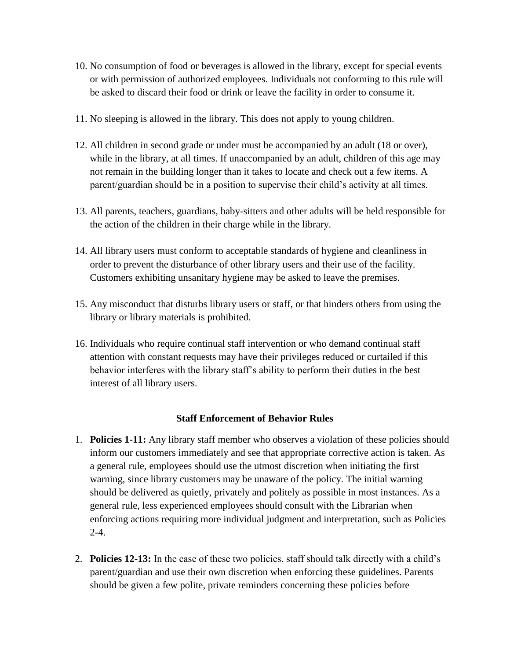- 10. No consumption of food or beverages is allowed in the library, except for special events or with permission of authorized employees. Individuals not conforming to this rule will be asked to discard their food or drink or leave the facility in order to consume it.
- 11. No sleeping is allowed in the library. This does not apply to young children.
- 12. All children in second grade or under must be accompanied by an adult (18 or over), while in the library, at all times. If unaccompanied by an adult, children of this age may not remain in the building longer than it takes to locate and check out a few items. A parent/guardian should be in a position to supervise their child's activity at all times.
- 13. All parents, teachers, guardians, baby-sitters and other adults will be held responsible for the action of the children in their charge while in the library.
- 14. All library users must conform to acceptable standards of hygiene and cleanliness in order to prevent the disturbance of other library users and their use of the facility. Customers exhibiting unsanitary hygiene may be asked to leave the premises.
- 15. Any misconduct that disturbs library users or staff, or that hinders others from using the library or library materials is prohibited.
- 16. Individuals who require continual staff intervention or who demand continual staff attention with constant requests may have their privileges reduced or curtailed if this behavior interferes with the library staff's ability to perform their duties in the best interest of all library users.

## **Staff Enforcement of Behavior Rules**

- 1. **Policies 1-11:** Any library staff member who observes a violation of these policies should inform our customers immediately and see that appropriate corrective action is taken. As a general rule, employees should use the utmost discretion when initiating the first warning, since library customers may be unaware of the policy. The initial warning should be delivered as quietly, privately and politely as possible in most instances. As a general rule, less experienced employees should consult with the Librarian when enforcing actions requiring more individual judgment and interpretation, such as Policies  $2 - 4.$
- 2. **Policies 12-13:** In the case of these two policies, staff should talk directly with a child's parent/guardian and use their own discretion when enforcing these guidelines. Parents should be given a few polite, private reminders concerning these policies before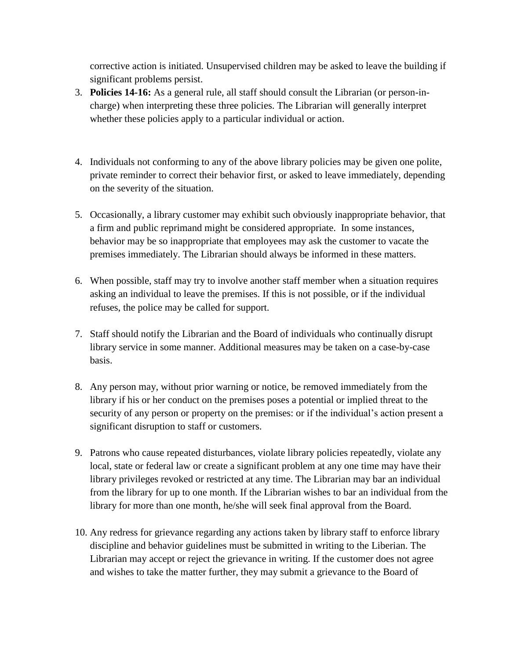corrective action is initiated. Unsupervised children may be asked to leave the building if significant problems persist.

- 3. **Policies 14-16:** As a general rule, all staff should consult the Librarian (or person-incharge) when interpreting these three policies. The Librarian will generally interpret whether these policies apply to a particular individual or action.
- 4. Individuals not conforming to any of the above library policies may be given one polite, private reminder to correct their behavior first, or asked to leave immediately, depending on the severity of the situation.
- 5. Occasionally, a library customer may exhibit such obviously inappropriate behavior, that a firm and public reprimand might be considered appropriate. In some instances, behavior may be so inappropriate that employees may ask the customer to vacate the premises immediately. The Librarian should always be informed in these matters.
- 6. When possible, staff may try to involve another staff member when a situation requires asking an individual to leave the premises. If this is not possible, or if the individual refuses, the police may be called for support.
- 7. Staff should notify the Librarian and the Board of individuals who continually disrupt library service in some manner. Additional measures may be taken on a case-by-case basis.
- 8. Any person may, without prior warning or notice, be removed immediately from the library if his or her conduct on the premises poses a potential or implied threat to the security of any person or property on the premises: or if the individual's action present a significant disruption to staff or customers.
- 9. Patrons who cause repeated disturbances, violate library policies repeatedly, violate any local, state or federal law or create a significant problem at any one time may have their library privileges revoked or restricted at any time. The Librarian may bar an individual from the library for up to one month. If the Librarian wishes to bar an individual from the library for more than one month, he/she will seek final approval from the Board.
- 10. Any redress for grievance regarding any actions taken by library staff to enforce library discipline and behavior guidelines must be submitted in writing to the Liberian. The Librarian may accept or reject the grievance in writing. If the customer does not agree and wishes to take the matter further, they may submit a grievance to the Board of